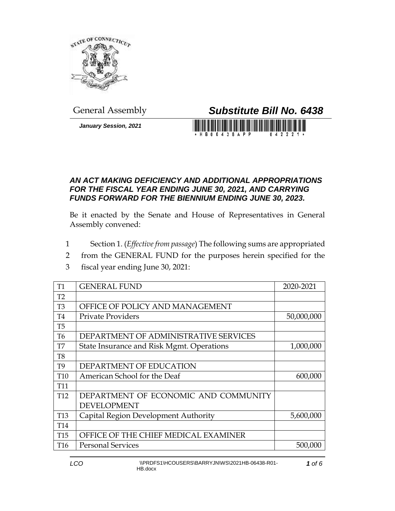

*January Session, 2021*

## General Assembly *Substitute Bill No. 6438*

**HB06438APP** 0 4 2 2 2 1

## *AN ACT MAKING DEFICIENCY AND ADDITIONAL APPROPRIATIONS FOR THE FISCAL YEAR ENDING JUNE 30, 2021, AND CARRYING FUNDS FORWARD FOR THE BIENNIUM ENDING JUNE 30, 2023.*

Be it enacted by the Senate and House of Representatives in General Assembly convened:

- 1 Section 1. (*Effective from passage*) The following sums are appropriated
- 2 from the GENERAL FUND for the purposes herein specified for the
- 3 fiscal year ending June 30, 2021:

| T <sub>1</sub>  | <b>GENERAL FUND</b>                       | 2020-2021  |
|-----------------|-------------------------------------------|------------|
| T2              |                                           |            |
| T <sub>3</sub>  | OFFICE OF POLICY AND MANAGEMENT           |            |
| T <sub>4</sub>  | <b>Private Providers</b>                  | 50,000,000 |
| T <sub>5</sub>  |                                           |            |
| T <sub>6</sub>  | DEPARTMENT OF ADMINISTRATIVE SERVICES     |            |
| T7              | State Insurance and Risk Mgmt. Operations | 1,000,000  |
| T <sub>8</sub>  |                                           |            |
| T <sub>9</sub>  | DEPARTMENT OF EDUCATION                   |            |
| T <sub>10</sub> | American School for the Deaf              | 600,000    |
| <b>T11</b>      |                                           |            |
| T <sub>12</sub> | DEPARTMENT OF ECONOMIC AND COMMUNITY      |            |
|                 | <b>DEVELOPMENT</b>                        |            |
| <b>T13</b>      | Capital Region Development Authority      | 5,600,000  |
| T <sub>14</sub> |                                           |            |
| T <sub>15</sub> | OFFICE OF THE CHIEF MEDICAL EXAMINER      |            |
| T <sub>16</sub> | <b>Personal Services</b>                  | 500,000    |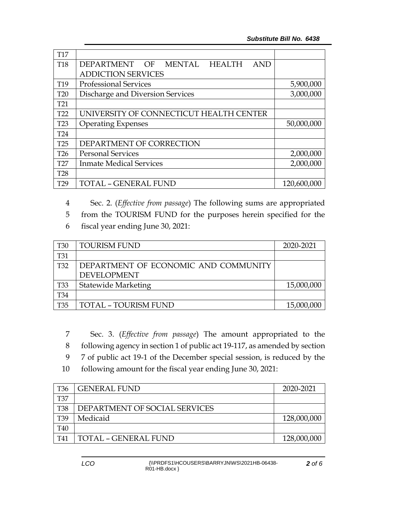| <b>T17</b>      |                                                     |             |
|-----------------|-----------------------------------------------------|-------------|
| <b>T18</b>      | <b>HEALTH</b><br>DEPARTMENT OF MENTAL<br><b>AND</b> |             |
|                 | <b>ADDICTION SERVICES</b>                           |             |
| T <sub>19</sub> | <b>Professional Services</b>                        | 5,900,000   |
| <b>T20</b>      | Discharge and Diversion Services                    | 3,000,000   |
| T <sub>21</sub> |                                                     |             |
| T22             | UNIVERSITY OF CONNECTICUT HEALTH CENTER             |             |
| T <sub>23</sub> | <b>Operating Expenses</b>                           | 50,000,000  |
| <b>T24</b>      |                                                     |             |
| T25             | DEPARTMENT OF CORRECTION                            |             |
| T <sub>26</sub> | <b>Personal Services</b>                            | 2,000,000   |
| T <sub>27</sub> | <b>Inmate Medical Services</b>                      | 2,000,000   |
| <b>T28</b>      |                                                     |             |
| T <sub>29</sub> | <b>TOTAL - GENERAL FUND</b>                         | 120,600,000 |

4 Sec. 2. (*Effective from passage*) The following sums are appropriated

- 5 from the TOURISM FUND for the purposes herein specified for the
- 6 fiscal year ending June 30, 2021:

| <b>T30</b> | <b>TOURISM FUND</b>                  | 2020-2021  |
|------------|--------------------------------------|------------|
| <b>T31</b> |                                      |            |
| <b>T32</b> | DEPARTMENT OF ECONOMIC AND COMMUNITY |            |
|            | <b>DEVELOPMENT</b>                   |            |
| <b>T33</b> | <b>Statewide Marketing</b>           | 15,000,000 |
| <b>T34</b> |                                      |            |
| <b>T35</b> | <b>TOTAL - TOURISM FUND</b>          | 15,000,000 |

7 Sec. 3. (*Effective from passage*) The amount appropriated to the 8 following agency in section 1 of public act 19-117, as amended by section

9 7 of public act 19-1 of the December special session, is reduced by the

10 following amount for the fiscal year ending June 30, 2021:

| <b>T36</b> | <b>GENERAL FUND</b>           | 2020-2021   |
|------------|-------------------------------|-------------|
| <b>T37</b> |                               |             |
| <b>T38</b> | DEPARTMENT OF SOCIAL SERVICES |             |
| T39        | Medicaid                      | 128,000,000 |
| T40        |                               |             |
| T41        | <b>TOTAL - GENERAL FUND</b>   | 128,000,000 |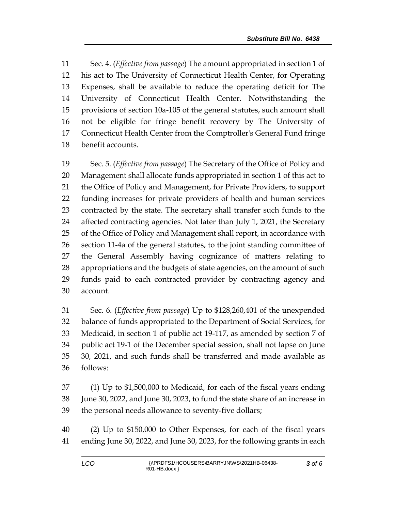Sec. 4. (*Effective from passage*) The amount appropriated in section 1 of his act to The University of Connecticut Health Center, for Operating Expenses, shall be available to reduce the operating deficit for The University of Connecticut Health Center. Notwithstanding the provisions of section 10a-105 of the general statutes, such amount shall not be eligible for fringe benefit recovery by The University of Connecticut Health Center from the Comptroller's General Fund fringe benefit accounts.

 Sec. 5. (*Effective from passage*) The Secretary of the Office of Policy and Management shall allocate funds appropriated in section 1 of this act to the Office of Policy and Management, for Private Providers, to support funding increases for private providers of health and human services contracted by the state. The secretary shall transfer such funds to the 24 affected contracting agencies. Not later than July 1, 2021, the Secretary of the Office of Policy and Management shall report, in accordance with section 11-4a of the general statutes, to the joint standing committee of the General Assembly having cognizance of matters relating to appropriations and the budgets of state agencies, on the amount of such funds paid to each contracted provider by contracting agency and account.

 Sec. 6. (*Effective from passage*) Up to \$128,260,401 of the unexpended balance of funds appropriated to the Department of Social Services, for Medicaid, in section 1 of public act 19-117, as amended by section 7 of public act 19-1 of the December special session, shall not lapse on June 30, 2021, and such funds shall be transferred and made available as follows:

 (1) Up to \$1,500,000 to Medicaid, for each of the fiscal years ending June 30, 2022, and June 30, 2023, to fund the state share of an increase in the personal needs allowance to seventy-five dollars;

 (2) Up to \$150,000 to Other Expenses, for each of the fiscal years ending June 30, 2022, and June 30, 2023, for the following grants in each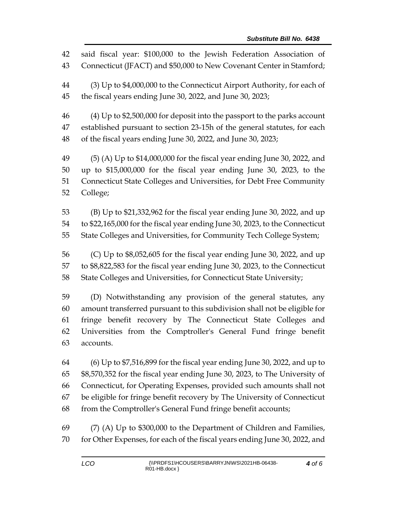said fiscal year: \$100,000 to the Jewish Federation Association of Connecticut (JFACT) and \$50,000 to New Covenant Center in Stamford; (3) Up to \$4,000,000 to the Connecticut Airport Authority, for each of the fiscal years ending June 30, 2022, and June 30, 2023; (4) Up to \$2,500,000 for deposit into the passport to the parks account established pursuant to section 23-15h of the general statutes, for each of the fiscal years ending June 30, 2022, and June 30, 2023; (5) (A) Up to \$14,000,000 for the fiscal year ending June 30, 2022, and up to \$15,000,000 for the fiscal year ending June 30, 2023, to the Connecticut State Colleges and Universities, for Debt Free Community College;

 (B) Up to \$21,332,962 for the fiscal year ending June 30, 2022, and up to \$22,165,000 for the fiscal year ending June 30, 2023, to the Connecticut State Colleges and Universities, for Community Tech College System;

 (C) Up to \$8,052,605 for the fiscal year ending June 30, 2022, and up to \$8,822,583 for the fiscal year ending June 30, 2023, to the Connecticut State Colleges and Universities, for Connecticut State University;

 (D) Notwithstanding any provision of the general statutes, any amount transferred pursuant to this subdivision shall not be eligible for fringe benefit recovery by The Connecticut State Colleges and Universities from the Comptroller's General Fund fringe benefit accounts.

 (6) Up to \$7,516,899 for the fiscal year ending June 30, 2022, and up to \$8,570,352 for the fiscal year ending June 30, 2023, to The University of Connecticut, for Operating Expenses, provided such amounts shall not be eligible for fringe benefit recovery by The University of Connecticut from the Comptroller's General Fund fringe benefit accounts;

 (7) (A) Up to \$300,000 to the Department of Children and Families, for Other Expenses, for each of the fiscal years ending June 30, 2022, and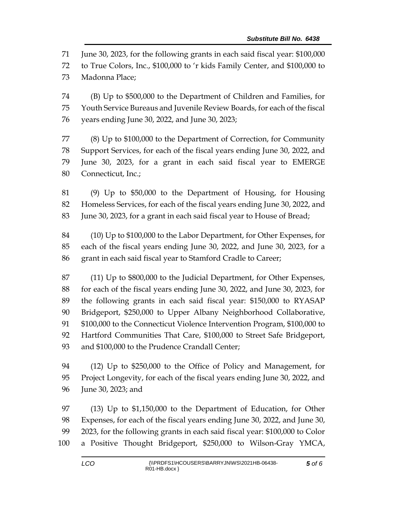June 30, 2023, for the following grants in each said fiscal year: \$100,000

to True Colors, Inc., \$100,000 to 'r kids Family Center, and \$100,000 to

Madonna Place;

 (B) Up to \$500,000 to the Department of Children and Families, for Youth Service Bureaus and Juvenile Review Boards, for each of the fiscal years ending June 30, 2022, and June 30, 2023;

 (8) Up to \$100,000 to the Department of Correction, for Community Support Services, for each of the fiscal years ending June 30, 2022, and June 30, 2023, for a grant in each said fiscal year to EMERGE Connecticut, Inc.;

 (9) Up to \$50,000 to the Department of Housing, for Housing Homeless Services, for each of the fiscal years ending June 30, 2022, and June 30, 2023, for a grant in each said fiscal year to House of Bread;

 (10) Up to \$100,000 to the Labor Department, for Other Expenses, for each of the fiscal years ending June 30, 2022, and June 30, 2023, for a grant in each said fiscal year to Stamford Cradle to Career;

 (11) Up to \$800,000 to the Judicial Department, for Other Expenses, for each of the fiscal years ending June 30, 2022, and June 30, 2023, for the following grants in each said fiscal year: \$150,000 to RYASAP Bridgeport, \$250,000 to Upper Albany Neighborhood Collaborative, \$100,000 to the Connecticut Violence Intervention Program, \$100,000 to Hartford Communities That Care, \$100,000 to Street Safe Bridgeport, and \$100,000 to the Prudence Crandall Center;

 (12) Up to \$250,000 to the Office of Policy and Management, for Project Longevity, for each of the fiscal years ending June 30, 2022, and June 30, 2023; and

 (13) Up to \$1,150,000 to the Department of Education, for Other Expenses, for each of the fiscal years ending June 30, 2022, and June 30, 2023, for the following grants in each said fiscal year: \$100,000 to Color a Positive Thought Bridgeport, \$250,000 to Wilson-Gray YMCA,